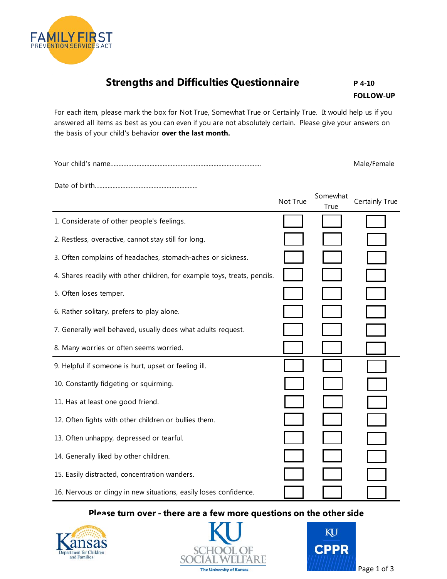

## **Strengths and Difficulties Questionnaire** P4-10

**FOLLOW-UP** 

For each item, please mark the box for Not True, Somewhat True or Certainly True. It would help us if you answered all items as best as you can even if you are not absolutely certain. Please give your answers on the basis of your child's behavior **over the last month.** 

Your child's name…......................................................................................... Male/Female

Date of birth…............................................................

|                                                                           | Not True | Somewhat<br>True | Certainly True |
|---------------------------------------------------------------------------|----------|------------------|----------------|
| 1. Considerate of other people's feelings.                                |          |                  |                |
| 2. Restless, overactive, cannot stay still for long.                      |          |                  |                |
| 3. Often complains of headaches, stomach-aches or sickness.               |          |                  |                |
| 4. Shares readily with other children, for example toys, treats, pencils. |          |                  |                |
| 5. Often loses temper.                                                    |          |                  |                |
| 6. Rather solitary, prefers to play alone.                                |          |                  |                |
| 7. Generally well behaved, usually does what adults request.              |          |                  |                |
| 8. Many worries or often seems worried.                                   |          |                  |                |
| 9. Helpful if someone is hurt, upset or feeling ill.                      |          |                  |                |
| 10. Constantly fidgeting or squirming.                                    |          |                  |                |
| 11. Has at least one good friend.                                         |          |                  |                |
| 12. Often fights with other children or bullies them.                     |          |                  |                |
| 13. Often unhappy, depressed or tearful.                                  |          |                  |                |
| 14. Generally liked by other children.                                    |          |                  |                |
| 15. Easily distracted, concentration wanders.                             |          |                  |                |
| 16. Nervous or clingy in new situations, easily loses confidence.         |          |                  |                |

## **Please turn over - there are a few more questions on the other side**





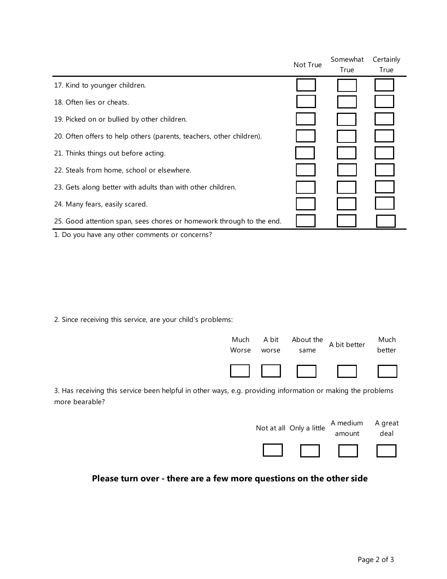|                                                                      | Not True | Somewhat | Certainly |
|----------------------------------------------------------------------|----------|----------|-----------|
|                                                                      |          | True     | True      |
| 17. Kind to younger children.                                        |          |          |           |
| 18. Often lies or cheats.                                            |          |          |           |
| 19. Picked on or bullied by other children.                          |          |          |           |
| 20. Often offers to help others (parents, teachers, other children). |          |          |           |
| 21. Thinks things out before acting.                                 |          |          |           |
| 22. Steals from home, school or elsewhere.                           |          |          |           |
| 23. Gets along better with adults than with other children.          |          |          |           |
| 24. Many fears, easily scared.                                       |          |          |           |
| 25. Good attention span, sees chores or homework through to the end. |          |          |           |
| 1. Do you have any other comments or concerns?                       |          |          |           |

2. Since receiving this service, are your child's problems:



3. Has receiving this service been helpful in other ways, e.g. providing information or making the problems more bearable?

| Not at all Only a little | A medium<br>amount | A great<br>deal |
|--------------------------|--------------------|-----------------|
|                          |                    |                 |

## **Please turn over - there are a few more questions on the other side**